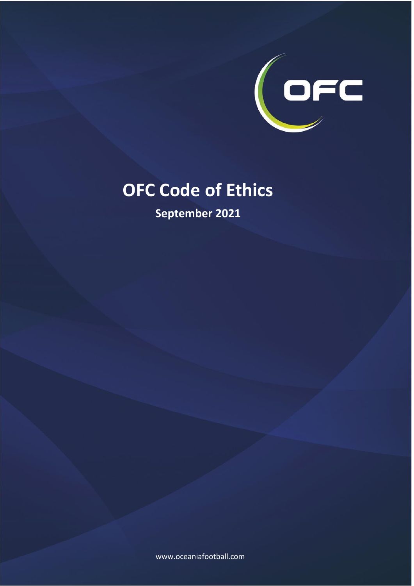

# **OFC Code of Ethics**

**September 2021**

www.oceaniafootball.com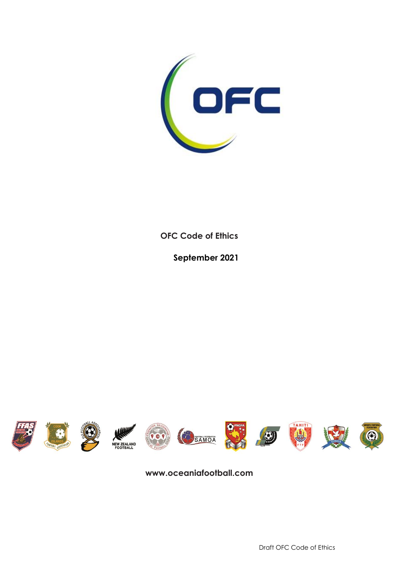

**OFC Code of Ethics**

**September 2021**



**www.oceaniafootball.com**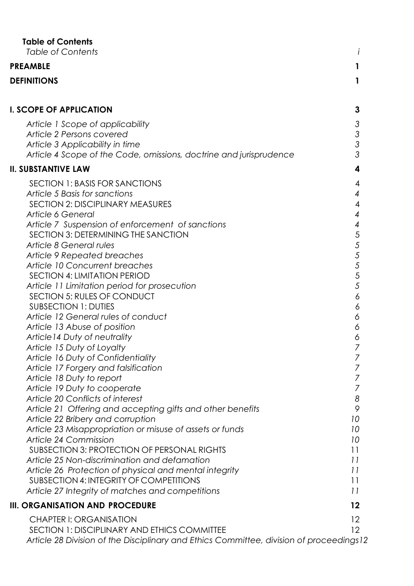<span id="page-2-0"></span>

| <b>Table of Contents</b><br><b>Table of Contents</b>                 |                 |
|----------------------------------------------------------------------|-----------------|
| <b>PREAMBLE</b>                                                      |                 |
| <b>DEFINITIONS</b>                                                   | 1               |
|                                                                      |                 |
| <b>I. SCOPE OF APPLICATION</b>                                       | 3               |
| Article 1 Scope of applicability                                     | 3               |
| Article 2 Persons covered                                            | 3               |
| Article 3 Applicability in time                                      | 3               |
| Article 4 Scope of the Code, omissions, doctrine and jurisprudence   | 3               |
| <b>II. SUBSTANTIVE LAW</b>                                           | 4               |
| <b>SECTION 1: BASIS FOR SANCTIONS</b>                                | 4               |
| Article 5 Basis for sanctions                                        | 4               |
| <b>SECTION 2: DISCIPLINARY MEASURES</b>                              | 4               |
| <b>Article 6 General</b>                                             | 4               |
| Article 7 Suspension of enforcement of sanctions                     | 4               |
| SECTION 3: DETERMINING THE SANCTION                                  | 5               |
| Article 8 General rules                                              | 5<br>5          |
| <b>Article 9 Repeated breaches</b><br>Article 10 Concurrent breaches | 5               |
| SECTION 4: LIMITATION PERIOD                                         | 5               |
| Article 11 Limitation period for prosecution                         | 5               |
| SECTION 5: RULES OF CONDUCT                                          | 6               |
| <b>SUBSECTION 1: DUTIES</b>                                          | 6               |
| Article 12 General rules of conduct                                  | 6               |
| Article 13 Abuse of position                                         | 6               |
| Article 14 Duty of neutrality                                        | 6               |
| Article 15 Duty of Loyalty                                           | 7               |
| Article 16 Duty of Confidentiality                                   | 7               |
| Article 17 Forgery and falsification                                 | 7               |
| Article 18 Duty to report                                            | 7               |
| Article 19 Duty to cooperate<br>Article 20 Conflicts of interest     | 7<br>8          |
| Article 21 Offering and accepting gifts and other benefits           | 9               |
| Article 22 Bribery and corruption                                    | 10              |
| Article 23 Misappropriation or misuse of assets or funds             | 10              |
| Article 24 Commission                                                | 10              |
| <b>SUBSECTION 3: PROTECTION OF PERSONAL RIGHTS</b>                   | 11              |
| Article 25 Non-discrimination and defamation                         | 11              |
| Article 26 Protection of physical and mental integrity               | 11              |
| <b>SUBSECTION 4: INTEGRITY OF COMPETITIONS</b>                       | 11              |
| Article 27 Integrity of matches and competitions                     | 11              |
| III. ORGANISATION AND PROCEDURE                                      | 12              |
| <b>CHAPTER I: ORGANISATION</b>                                       | $12 \,$         |
| SECTION 1: DISCIPLINARY AND ETHICS COMMITTEE                         | 12 <sup>2</sup> |

*[Article 28 Division of the Disciplinary and Ethics Committee, division of proceedings12](#page-16-3)*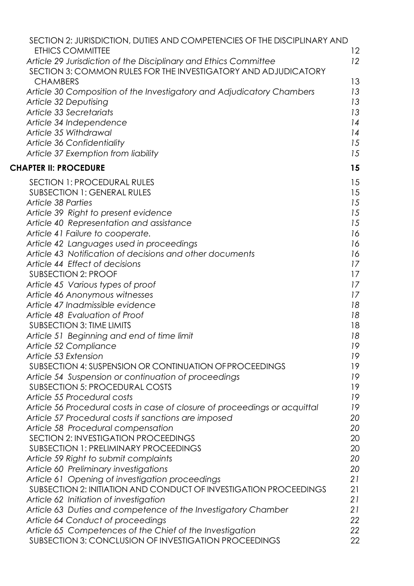| SECTION 2: JURISDICTION, DUTIES AND COMPETENCIES OF THE DISCIPLINARY AND                                                           |          |
|------------------------------------------------------------------------------------------------------------------------------------|----------|
| <b>ETHICS COMMITTEE</b>                                                                                                            | 12       |
| Article 29 Jurisdiction of the Disciplinary and Ethics Committee<br>SECTION 3: COMMON RULES FOR THE INVESTIGATORY AND ADJUDICATORY | 12       |
| <b>CHAMBERS</b>                                                                                                                    | 13       |
| Article 30 Composition of the Investigatory and Adjudicatory Chambers                                                              | 13       |
| Article 32 Deputising                                                                                                              | 13       |
| Article 33 Secretariats                                                                                                            | 13       |
| Article 34 Independence                                                                                                            | 14       |
| Article 35 Withdrawal                                                                                                              | 14       |
| Article 36 Confidentiality                                                                                                         | 15       |
| Article 37 Exemption from liability                                                                                                | 15       |
| <b>CHAPTER II: PROCEDURE</b>                                                                                                       | 15       |
| <b>SECTION 1: PROCEDURAL RULES</b>                                                                                                 |          |
| <b>SUBSECTION 1: GENERAL RULES</b>                                                                                                 | 15<br>15 |
| Article 38 Parties                                                                                                                 | 15       |
| Article 39 Right to present evidence                                                                                               | 15       |
| Article 40 Representation and assistance                                                                                           | 15       |
| Article 41 Failure to cooperate.                                                                                                   | 16       |
| Article 42 Languages used in proceedings                                                                                           | 16       |
| Article 43 Notification of decisions and other documents                                                                           | 16       |
| Article 44 Effect of decisions                                                                                                     | 17       |
| <b>SUBSECTION 2: PROOF</b>                                                                                                         | 17       |
| Article 45 Various types of proof                                                                                                  | 17       |
| Article 46 Anonymous witnesses                                                                                                     | 17       |
| Article 47 Inadmissible evidence                                                                                                   | 18       |
| Article 48 Evaluation of Proof                                                                                                     | 18       |
| <b>SUBSECTION 3: TIME LIMITS</b>                                                                                                   | 18       |
| Article 51 Beginning and end of time limit                                                                                         | 18       |
| Article 52 Compliance                                                                                                              | 19       |
| Article 53 Extension                                                                                                               | 19       |
| SUBSECTION 4: SUSPENSION OR CONTINUATION OF PROCEEDINGS                                                                            | 19       |
| Article 54 Suspension or continuation of proceedings                                                                               | 19       |
| <b>SUBSECTION 5: PROCEDURAL COSTS</b>                                                                                              | 19       |
| Article 55 Procedural costs                                                                                                        | 19       |
| Article 56 Procedural costs in case of closure of proceedings or acquittal                                                         | 19       |
| Article 57 Procedural costs if sanctions are imposed                                                                               | 20       |
| Article 58 Procedural compensation                                                                                                 | 20       |
| <b>SECTION 2: INVESTIGATION PROCEEDINGS</b>                                                                                        | 20       |
| <b>SUBSECTION 1: PRELIMINARY PROCEEDINGS</b>                                                                                       | 20       |
| Article 59 Right to submit complaints                                                                                              | 20<br>20 |
| Article 60 Preliminary investigations<br>Article 61 Opening of investigation proceedings                                           | 21       |
| SUBSECTION 2: INITIATION AND CONDUCT OF INVESTIGATION PROCEEDINGS                                                                  | 21       |
| Article 62 Initiation of investigation                                                                                             | 21       |
| Article 63 Duties and competence of the Investigatory Chamber                                                                      | 21       |
| Article 64 Conduct of proceedings                                                                                                  | 22       |
| Article 65 Competences of the Chief of the Investigation                                                                           | 22       |
| SUBSECTION 3: CONCLUSION OF INVESTIGATION PROCEEDINGS                                                                              | 22       |
|                                                                                                                                    |          |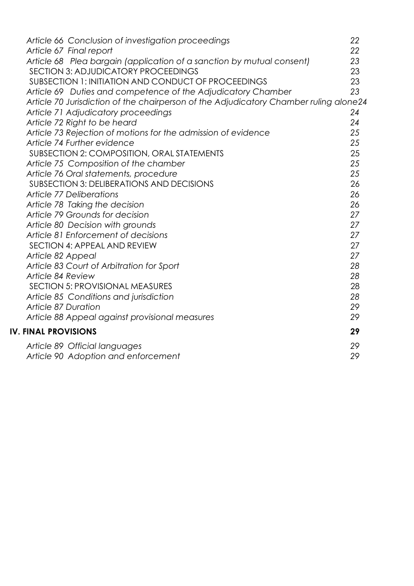| Article 66 Conclusion of investigation proceedings                                    | 22 |
|---------------------------------------------------------------------------------------|----|
| Article 67 Final report                                                               | 22 |
| Article 68 Plea bargain (application of a sanction by mutual consent)                 | 23 |
| SECTION 3: ADJUDICATORY PROCEEDINGS                                                   | 23 |
| SUBSECTION 1: INITIATION AND CONDUCT OF PROCEEDINGS                                   | 23 |
| Article 69 Duties and competence of the Adjudicatory Chamber                          | 23 |
| Article 70 Jurisdiction of the chairperson of the Adjudicatory Chamber ruling alone24 |    |
| Article 71 Adjudicatory proceedings                                                   | 24 |
| Article 72 Right to be heard                                                          | 24 |
| Article 73 Rejection of motions for the admission of evidence                         | 25 |
| Article 74 Further evidence                                                           | 25 |
| SUBSECTION 2: COMPOSITION, ORAL STATEMENTS                                            | 25 |
| Article 75 Composition of the chamber                                                 | 25 |
| Article 76 Oral statements, procedure                                                 | 25 |
| <b>SUBSECTION 3: DELIBERATIONS AND DECISIONS</b>                                      | 26 |
| <b>Article 77 Deliberations</b>                                                       | 26 |
| Article 78 Taking the decision                                                        | 26 |
| Article 79 Grounds for decision                                                       | 27 |
| Article 80 Decision with grounds                                                      | 27 |
| Article 81 Enforcement of decisions                                                   | 27 |
| SECTION 4: APPEAL AND REVIEW                                                          | 27 |
| Article 82 Appeal                                                                     | 27 |
| Article 83 Court of Arbitration for Sport                                             | 28 |
| Article 84 Review                                                                     | 28 |
| SECTION 5: PROVISIONAL MEASURES                                                       | 28 |
| Article 85 Conditions and jurisdiction                                                | 28 |
| <b>Article 87 Duration</b>                                                            | 29 |
| Article 88 Appeal against provisional measures                                        | 29 |
| <b>IV. FINAL PROVISIONS</b>                                                           | 29 |
| Article 89 Official languages                                                         | 29 |
| Article 90 Adoption and enforcement                                                   | 29 |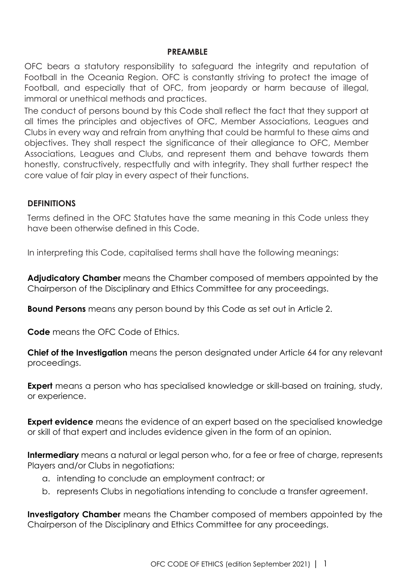#### **PREAMBLE**

<span id="page-5-0"></span>OFC bears a statutory responsibility to safeguard the integrity and reputation of Football in the Oceania Region. OFC is constantly striving to protect the image of Football, and especially that of OFC, from jeopardy or harm because of illegal, immoral or unethical methods and practices.

The conduct of persons bound by this Code shall reflect the fact that they support at all times the principles and objectives of OFC, Member Associations, Leagues and Clubs in every way and refrain from anything that could be harmful to these aims and objectives. They shall respect the significance of their allegiance to OFC, Member Associations, Leagues and Clubs, and represent them and behave towards them honestly, constructively, respectfully and with integrity. They shall further respect the core value of fair play in every aspect of their functions.

#### <span id="page-5-1"></span>**DEFINITIONS**

Terms defined in the OFC Statutes have the same meaning in this Code unless they have been otherwise defined in this Code.

In interpreting this Code, capitalised terms shall have the following meanings:

**Adjudicatory Chamber** means the Chamber composed of members appointed by the Chairperson of the Disciplinary and Ethics Committee for any proceedings.

**Bound Persons** means any person bound by this Code as set out in Article 2.

**Code** means the OFC Code of Ethics.

**Chief of the Investigation** means the person designated under Article 64 for any relevant proceedings.

**Expert** means a person who has specialised knowledge or skill-based on training, study, or experience.

**Expert evidence** means the evidence of an expert based on the specialised knowledge or skill of that expert and includes evidence given in the form of an opinion.

**Intermediary** means a natural or legal person who, for a fee or free of charge, represents Players and/or Clubs in negotiations:

- a. intending to conclude an employment contract; or
- b. represents Clubs in negotiations intending to conclude a transfer agreement.

**Investigatory Chamber** means the Chamber composed of members appointed by the Chairperson of the Disciplinary and Ethics Committee for any proceedings.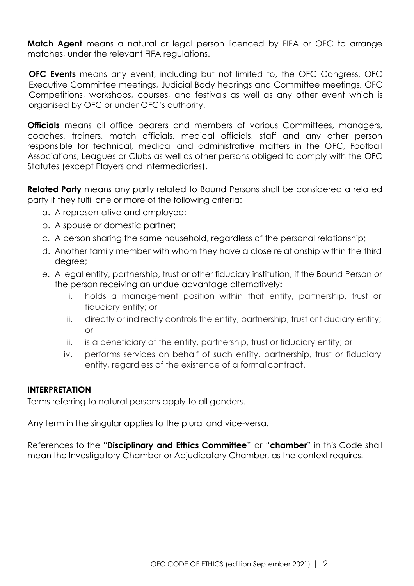**Match Agent** means a natural or legal person licenced by FIFA or OFC to arrange matches, under the relevant FIFA regulations.

**OFC Events** means any event, including but not limited to, the OFC Congress, OFC Executive Committee meetings, Judicial Body hearings and Committee meetings, OFC Competitions, workshops, courses, and festivals as well as any other event which is organised by OFC or under OFC's authority.

**Officials** means all office bearers and members of various Committees, managers, coaches, trainers, match officials, medical officials, staff and any other person responsible for technical, medical and administrative matters in the OFC, Football Associations, Leagues or Clubs as well as other persons obliged to comply with the OFC Statutes (except Players and Intermediaries).

**Related Party** means any party related to Bound Persons shall be considered a related party if they fulfil one or more of the following criteria:

- a. A representative and employee;
- b. A spouse or domestic partner;
- c. A person sharing the same household, regardless of the personal relationship;
- d. Another family member with whom they have a close relationship within the third degree;
- e. A legal entity, partnership, trust or other fiduciary institution, if the Bound Person or the person receiving an undue advantage alternatively**:**
	- i. holds a management position within that entity, partnership, trust or fiduciary entity; or
	- ii. directly or indirectly controls the entity, partnership, trust or fiduciary entity; or
	- iii. is a beneficiary of the entity, partnership, trust or fiduciary entity; or
	- iv. performs services on behalf of such entity, partnership, trust or fiduciary entity, regardless of the existence of a formal contract.

#### **INTERPRETATION**

Terms referring to natural persons apply to all genders.

Any term in the singular applies to the plural and vice-versa.

References to the "**Disciplinary and Ethics Committee**" or "**chamber**" in this Code shall mean the Investigatory Chamber or Adjudicatory Chamber, as the context requires.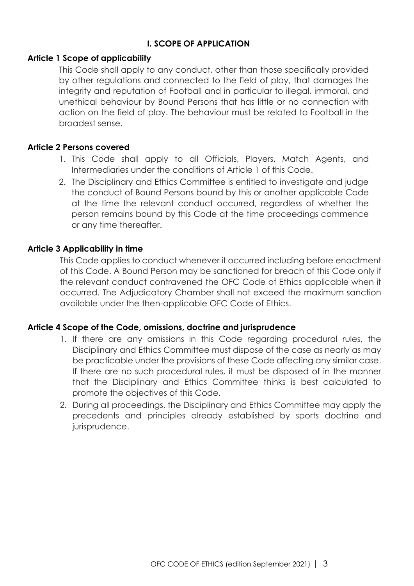# **I. SCOPE OF APPLICATION**

#### <span id="page-7-1"></span><span id="page-7-0"></span>**Article 1 Scope of applicability**

This Code shall apply to any conduct, other than those specifically provided by other regulations and connected to the field of play, that damages the integrity and reputation of Football and in particular to illegal, immoral, and unethical behaviour by Bound Persons that has little or no connection with action on the field of play. The behaviour must be related to Football in the broadest sense.

# <span id="page-7-2"></span>**Article 2 Persons covered**

- 1. This Code shall apply to all Officials, Players, Match Agents, and Intermediaries under the conditions of Article 1 of this Code.
- 2. The Disciplinary and Ethics Committee is entitled to investigate and judge the conduct of Bound Persons bound by this or another applicable Code at the time the relevant conduct occurred, regardless of whether the person remains bound by this Code at the time proceedings commence or any time thereafter.

# <span id="page-7-3"></span>**Article 3 Applicability in time**

This Code applies to conduct whenever it occurred including before enactment of this Code. A Bound Person may be sanctioned for breach of this Code only if the relevant conduct contravened the OFC Code of Ethics applicable when it occurred. The Adjudicatory Chamber shall not exceed the maximum sanction available under the then-applicable OFC Code of Ethics.

#### <span id="page-7-4"></span>**Article 4 Scope of the Code, omissions, doctrine and jurisprudence**

- 1. If there are any omissions in this Code regarding procedural rules, the Disciplinary and Ethics Committee must dispose of the case as nearly as may be practicable under the provisions of these Code affecting any similar case. If there are no such procedural rules, it must be disposed of in the manner that the Disciplinary and Ethics Committee thinks is best calculated to promote the objectives of this Code.
- 2. During all proceedings, the Disciplinary and Ethics Committee may apply the precedents and principles already established by sports doctrine and jurisprudence.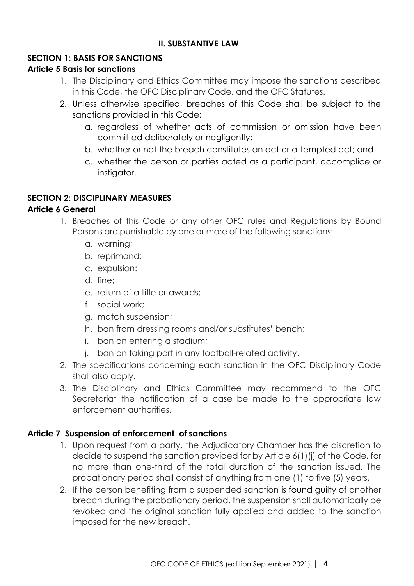# **II. SUBSTANTIVE LAW**

# <span id="page-8-1"></span><span id="page-8-0"></span>**SECTION 1: BASIS FOR SANCTIONS**

# <span id="page-8-2"></span>**Article 5 Basis for sanctions**

- 1. The Disciplinary and Ethics Committee may impose the sanctions described in this Code, the OFC Disciplinary Code, and the OFC Statutes.
- 2. Unless otherwise specified, breaches of this Code shall be subject to the sanctions provided in this Code:
	- a. regardless of whether acts of commission or omission have been committed deliberately or negligently;
	- b. whether or not the breach constitutes an act or attempted act; and
	- c. whether the person or parties acted as a participant, accomplice or instigator.

# <span id="page-8-3"></span>**SECTION 2: DISCIPLINARY MEASURES**

#### <span id="page-8-4"></span>**Article 6 General**

- 1. Breaches of this Code or any other OFC rules and Regulations by Bound Persons are punishable by one or more of the following sanctions:
	- a. warning;
	- b. reprimand;
	- c. expulsion:
	- d. fine;
	- e. return of a title or awards;
	- f. social work;
	- g. match suspension;
	- h. ban from dressing rooms and/or substitutes' bench;
	- i. ban on entering a stadium;
	- j. ban on taking part in any football-related activity.
- 2. The specifications concerning each sanction in the OFC Disciplinary Code shall also apply.
- 3. The Disciplinary and Ethics Committee may recommend to the OFC Secretariat the notification of a case be made to the appropriate law enforcement authorities.

# <span id="page-8-5"></span>**Article 7 Suspension of enforcement of sanctions**

- 1. Upon request from a party, the Adjudicatory Chamber has the discretion to decide to suspend the sanction provided for by Article 6(1)(j) of the Code, for no more than one-third of the total duration of the sanction issued. The probationary period shall consist of anything from one (1) to five (5) years.
- 2. If the person benefiting from a suspended sanction is found guilty of another breach during the probationary period, the suspension shall automatically be revoked and the original sanction fully applied and added to the sanction imposed for the new breach.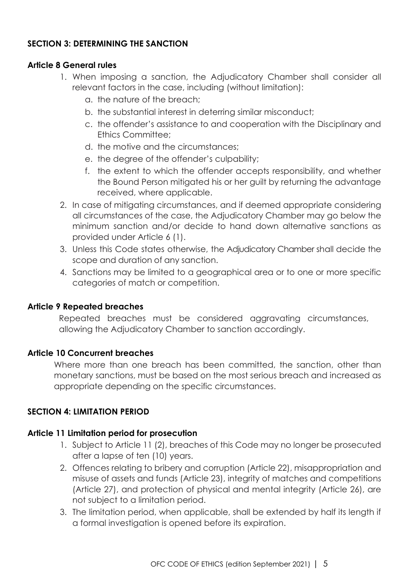# <span id="page-9-0"></span>**SECTION 3: DETERMINING THE SANCTION**

#### <span id="page-9-1"></span>**Article 8 General rules**

- 1. When imposing a sanction, the Adjudicatory Chamber shall consider all relevant factors in the case, including (without limitation):
	- a. the nature of the breach;
	- b. the substantial interest in deterring similar misconduct;
	- c. the offender's assistance to and cooperation with the Disciplinary and Ethics Committee;
	- d. the motive and the circumstances;
	- e. the degree of the offender's culpability;
	- f. the extent to which the offender accepts responsibility, and whether the Bound Person mitigated his or her guilt by returning the advantage received, where applicable.
- 2. In case of mitigating circumstances, and if deemed appropriate considering all circumstances of the case, the Adjudicatory Chamber may go below the minimum sanction and/or decide to hand down alternative sanctions as provided under Article 6 (1).
- 3. Unless this Code states otherwise, the Adjudicatory Chamber shall decide the scope and duration of any sanction.
- 4. Sanctions may be limited to a geographical area or to one or more specific categories of match or competition.

#### <span id="page-9-2"></span>**Article 9 Repeated breaches**

Repeated breaches must be considered aggravating circumstances, allowing the Adjudicatory Chamber to sanction accordingly.

# <span id="page-9-3"></span>**Article 10 Concurrent breaches**

Where more than one breach has been committed, the sanction, other than monetary sanctions, must be based on the most serious breach and increased as appropriate depending on the specific circumstances.

# <span id="page-9-4"></span>**SECTION 4: LIMITATION PERIOD**

#### <span id="page-9-5"></span>**Article 11 Limitation period for prosecution**

- 1. Subject to Article 11 (2), breaches of this Code may no longer be prosecuted after a lapse of ten (10) years.
- 2. Offences relating to bribery and corruption (Article 22), misappropriation and misuse of assets and funds (Article 23), integrity of matches and competitions (Article 27), and protection of physical and mental integrity (Article 26), are not subject to a limitation period.
- 3. The limitation period, when applicable, shall be extended by half its length if a formal investigation is opened before its expiration.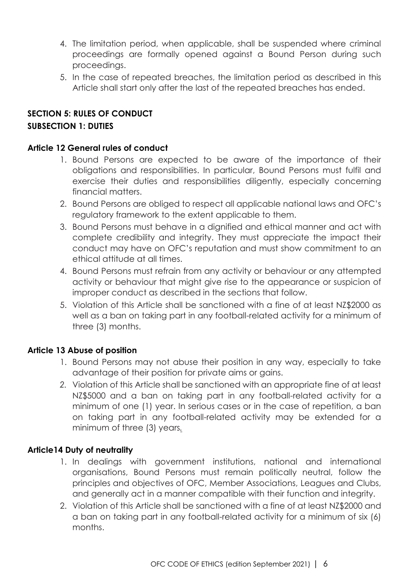- 4. The limitation period, when applicable, shall be suspended where criminal proceedings are formally opened against a Bound Person during such proceedings.
- 5. In the case of repeated breaches, the limitation period as described in this Article shall start only after the last of the repeated breaches has ended.

# <span id="page-10-1"></span><span id="page-10-0"></span>**SECTION 5: RULES OF CONDUCT SUBSECTION 1: DUTIES**

# <span id="page-10-2"></span>**Article 12 General rules of conduct**

- 1. Bound Persons are expected to be aware of the importance of their obligations and responsibilities. In particular, Bound Persons must fulfil and exercise their duties and responsibilities diligently, especially concerning financial matters.
- 2. Bound Persons are obliged to respect all applicable national laws and OFC's regulatory framework to the extent applicable to them.
- 3. Bound Persons must behave in a dignified and ethical manner and act with complete credibility and integrity. They must appreciate the impact their conduct may have on OFC's reputation and must show commitment to an ethical attitude at all times.
- 4. Bound Persons must refrain from any activity or behaviour or any attempted activity or behaviour that might give rise to the appearance or suspicion of improper conduct as described in the sections that follow.
- 5. Violation of this Article shall be sanctioned with a fine of at least NZ\$2000 as well as a ban on taking part in any football-related activity for a minimum of three (3) months.

# <span id="page-10-3"></span>**Article 13 Abuse of position**

- 1. Bound Persons may not abuse their position in any way, especially to take advantage of their position for private aims or gains.
- *2.* Violation of this Article shall be sanctioned with an appropriate fine of at least NZ\$5000 and a ban on taking part in any football-related activity for a minimum of one (1) year. In serious cases or in the case of repetition, a ban on taking part in any football-related activity may be extended for a minimum of three (3) years*.*

# <span id="page-10-4"></span>**Article14 Duty of neutrality**

- 1. In dealings with government institutions, national and international organisations, Bound Persons must remain politically neutral, follow the principles and objectives of OFC, Member Associations, Leagues and Clubs, and generally act in a manner compatible with their function and integrity.
- 2. Violation of this Article shall be sanctioned with a fine of at least NZ\$2000 and a ban on taking part in any football-related activity for a minimum of six (6) months.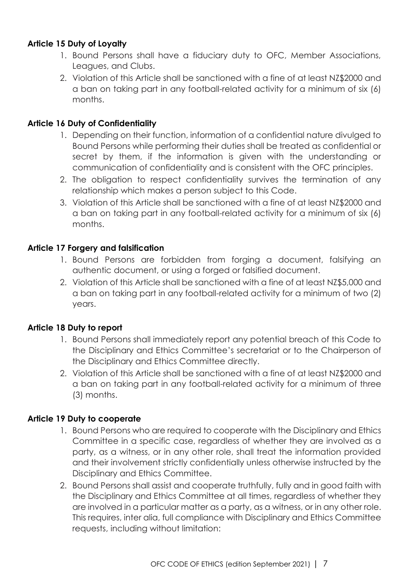# <span id="page-11-0"></span>**Article 15 Duty of Loyalty**

- 1. Bound Persons shall have a fiduciary duty to OFC, Member Associations, Leagues, and Clubs.
- 2. Violation of this Article shall be sanctioned with a fine of at least NZ\$2000 and a ban on taking part in any football-related activity for a minimum of six (6) months.

#### <span id="page-11-1"></span>**Article 16 Duty of Confidentiality**

- 1. Depending on their function, information of a confidential nature divulged to Bound Persons while performing their duties shall be treated as confidential or secret by them, if the information is given with the understanding or communication of confidentiality and is consistent with the OFC principles.
- 2. The obligation to respect confidentiality survives the termination of any relationship which makes a person subject to this Code.
- 3. Violation of this Article shall be sanctioned with a fine of at least NZ\$2000 and a ban on taking part in any football-related activity for a minimum of six (6) months.

# <span id="page-11-2"></span>**Article 17 Forgery and falsification**

- 1. Bound Persons are forbidden from forging a document, falsifying an authentic document, or using a forged or falsified document.
- 2. Violation of this Article shall be sanctioned with a fine of at least NZ\$5,000 and a ban on taking part in any football-related activity for a minimum of two (2) years.

# <span id="page-11-3"></span>**Article 18 Duty to report**

- 1. Bound Persons shall immediately report any potential breach of this Code to the Disciplinary and Ethics Committee's secretariat or to the Chairperson of the Disciplinary and Ethics Committee directly.
- 2. Violation of this Article shall be sanctioned with a fine of at least NZ\$2000 and a ban on taking part in any football-related activity for a minimum of three (3) months.

# <span id="page-11-4"></span>**Article 19 Duty to cooperate**

- 1. Bound Persons who are required to cooperate with the Disciplinary and Ethics Committee in a specific case, regardless of whether they are involved as a party, as a witness, or in any other role, shall treat the information provided and their involvement strictly confidentially unless otherwise instructed by the Disciplinary and Ethics Committee.
- 2. Bound Persons shall assist and cooperate truthfully, fully and in good faith with the Disciplinary and Ethics Committee at all times, regardless of whether they are involved in a particular matter as a party, as a witness, or in any other role. This requires, inter alia, full compliance with Disciplinary and Ethics Committee requests, including without limitation: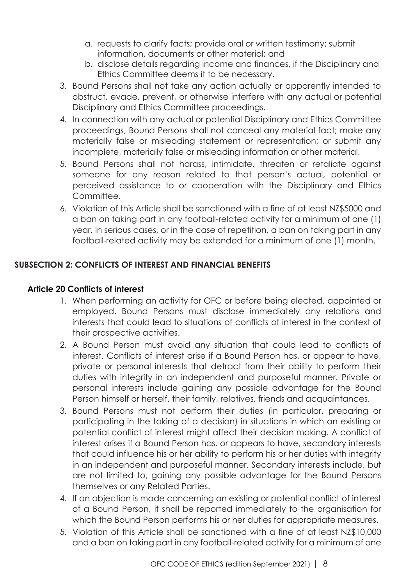- a. requests to clarify facts; provide oral or written testimony; submit information, documents or other material; and
- b. disclose details regarding income and finances, if the Disciplinary and Ethics Committee deems it to be necessary.
- 3. Bound Persons shall not take any action actually or apparently intended to obstruct, evade, prevent, or otherwise interfere with any actual or potential Disciplinary and Ethics Committee proceedings.
- 4. In connection with any actual or potential Disciplinary and Ethics Committee proceedings, Bound Persons shall not conceal any material fact; make any materially false or misleading statement or representation; or submit any incomplete, materially false or misleading information or other material.
- 5. Bound Persons shall not harass, intimidate, threaten or retaliate against someone for any reason related to that person's actual, potential or perceived assistance to or cooperation with the Disciplinary and Ethics Committee.
- 6. Violation of this Article shall be sanctioned with a fine of at least NZ\$5000 and a ban on taking part in any football-related activity for a minimum of one (1) year. In serious cases, or in the case of repetition, a ban on taking part in any football-related activity may be extended for a minimum of one (1) month.

# **SUBSECTION 2: CONFLICTS OF INTEREST AND FINANCIAL BENEFITS**

# <span id="page-12-0"></span>**Article 20 Conflicts of interest**

- 1. When performing an activity for OFC or before being elected, appointed or employed, Bound Persons must disclose immediately any relations and interests that could lead to situations of conflicts of interest in the context of their prospective activities.
- 2. A Bound Person must avoid any situation that could lead to conflicts of interest. Conflicts of interest arise if a Bound Person has, or appear to have, private or personal interests that detract from their ability to perform their duties with integrity in an independent and purposeful manner. Private or personal interests include gaining any possible advantage for the Bound Person himself or herself, their family, relatives, friends and acquaintances.
- 3. Bound Persons must not perform their duties (in particular, preparing or participating in the taking of a decision) in situations in which an existing or potential conflict of interest might affect their decision making. A conflict of interest arises if a Bound Person has, or appears to have, secondary interests that could influence his or her ability to perform his or her duties with integrity in an independent and purposeful manner. Secondary interests include, but are not limited to, gaining any possible advantage for the Bound Persons themselves or any Related Parties.
- 4. If an objection is made concerning an existing or potential conflict of interest of a Bound Person, it shall be reported immediately to the organisation for which the Bound Person performs his or her duties for appropriate measures.
- 5. Violation of this Article shall be sanctioned with a fine of at least NZ\$10,000 and a ban on taking part in any football-related activity for a minimum of one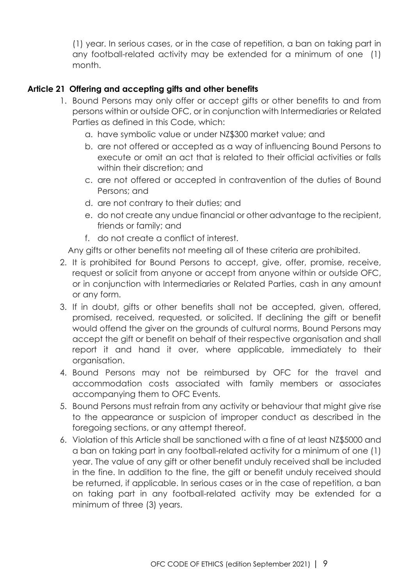(1) year. In serious cases, or in the case of repetition, a ban on taking part in any football-related activity may be extended for a minimum of one (1) month.

# <span id="page-13-0"></span>**Article 21 Offering and accepting gifts and other benefits**

- 1. Bound Persons may only offer or accept gifts or other benefits to and from persons within or outside OFC, or in conjunction with Intermediaries or Related Parties as defined in this Code, which:
	- a. have symbolic value or under NZ\$300 market value; and
	- b. are not offered or accepted as a way of influencing Bound Persons to execute or omit an act that is related to their official activities or falls within their discretion; and
	- c. are not offered or accepted in contravention of the duties of Bound Persons; and
	- d. are not contrary to their duties; and
	- e. do not create any undue financial or other advantage to the recipient, friends or family; and
	- f. do not create a conflict of interest.

Any gifts or other benefits not meeting all of these criteria are prohibited.

- 2. It is prohibited for Bound Persons to accept, give, offer, promise, receive, request or solicit from anyone or accept from anyone within or outside OFC, or in conjunction with Intermediaries or Related Parties, cash in any amount or any form.
- 3. If in doubt, gifts or other benefits shall not be accepted, given, offered, promised, received, requested, or solicited. If declining the gift or benefit would offend the giver on the grounds of cultural norms, Bound Persons may accept the gift or benefit on behalf of their respective organisation and shall report it and hand it over, where applicable, immediately to their organisation.
- 4. Bound Persons may not be reimbursed by OFC for the travel and accommodation costs associated with family members or associates accompanying them to OFC Events.
- 5. Bound Persons must refrain from any activity or behaviour that might give rise to the appearance or suspicion of improper conduct as described in the foregoing sections, or any attempt thereof.
- 6. Violation of this Article shall be sanctioned with a fine of at least NZ\$5000 and a ban on taking part in any football-related activity for a minimum of one (1) year. The value of any gift or other benefit unduly received shall be included in the fine. In addition to the fine, the gift or benefit unduly received should be returned, if applicable. In serious cases or in the case of repetition, a ban on taking part in any football-related activity may be extended for a minimum of three (3) years.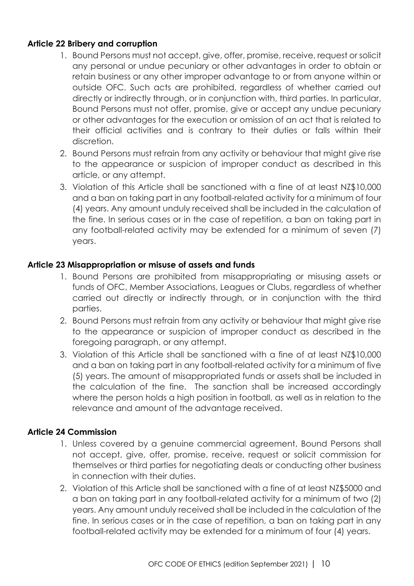# <span id="page-14-0"></span>**Article 22 Bribery and corruption**

- 1. Bound Persons must not accept, give, offer, promise, receive, request or solicit any personal or undue pecuniary or other advantages in order to obtain or retain business or any other improper advantage to or from anyone within or outside OFC. Such acts are prohibited, regardless of whether carried out directly or indirectly through, or in conjunction with, third parties. In particular, Bound Persons must not offer, promise, give or accept any undue pecuniary or other advantages for the execution or omission of an act that is related to their official activities and is contrary to their duties or falls within their discretion.
- 2. Bound Persons must refrain from any activity or behaviour that might give rise to the appearance or suspicion of improper conduct as described in this article, or any attempt.
- 3. Violation of this Article shall be sanctioned with a fine of at least NZ\$10,000 and a ban on taking part in any football-related activity for a minimum of four (4) years. Any amount unduly received shall be included in the calculation of the fine. In serious cases or in the case of repetition, a ban on taking part in any football-related activity may be extended for a minimum of seven (7) years.

# <span id="page-14-1"></span>**Article 23 Misappropriation or misuse of assets and funds**

- 1. Bound Persons are prohibited from misappropriating or misusing assets or funds of OFC, Member Associations, Leagues or Clubs, regardless of whether carried out directly or indirectly through, or in conjunction with the third parties.
- 2. Bound Persons must refrain from any activity or behaviour that might give rise to the appearance or suspicion of improper conduct as described in the foregoing paragraph, or any attempt.
- 3. Violation of this Article shall be sanctioned with a fine of at least NZ\$10,000 and a ban on taking part in any football-related activity for a minimum of five (5) years. The amount of misappropriated funds or assets shall be included in the calculation of the fine. The sanction shall be increased accordingly where the person holds a high position in football, as well as in relation to the relevance and amount of the advantage received.

# <span id="page-14-2"></span>**Article 24 Commission**

- 1. Unless covered by a genuine commercial agreement, Bound Persons shall not accept, give, offer, promise, receive, request or solicit commission for themselves or third parties for negotiating deals or conducting other business in connection with their duties.
- 2. Violation of this Article shall be sanctioned with a fine of at least NZ\$5000 and a ban on taking part in any football-related activity for a minimum of two (2) years. Any amount unduly received shall be included in the calculation of the fine. In serious cases or in the case of repetition, a ban on taking part in any football-related activity may be extended for a minimum of four (4) years.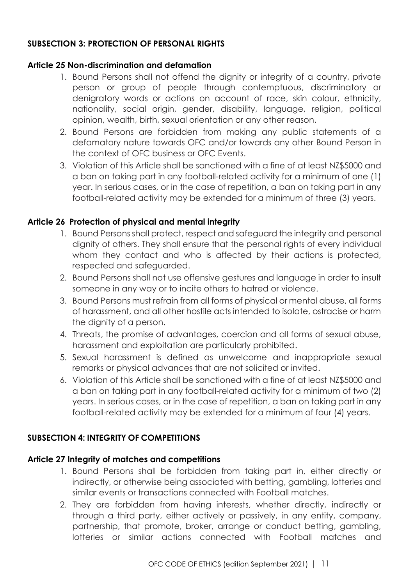# <span id="page-15-0"></span>**SUBSECTION 3: PROTECTION OF PERSONAL RIGHTS**

#### <span id="page-15-1"></span>**Article 25 Non-discrimination and defamation**

- 1. Bound Persons shall not offend the dignity or integrity of a country, private person or group of people through contemptuous, discriminatory or denigratory words or actions on account of race, skin colour, ethnicity, nationality, social origin, gender, disability, language, religion, political opinion, wealth, birth, sexual orientation or any other reason.
- 2. Bound Persons are forbidden from making any public statements of a defamatory nature towards OFC and/or towards any other Bound Person in the context of OFC business or OFC Events.
- 3. Violation of this Article shall be sanctioned with a fine of at least NZ\$5000 and a ban on taking part in any football-related activity for a minimum of one (1) year. In serious cases, or in the case of repetition, a ban on taking part in any football-related activity may be extended for a minimum of three (3) years.

# <span id="page-15-2"></span>**Article 26 Protection of physical and mental integrity**

- 1. Bound Persons shall protect, respect and safeguard the integrity and personal dignity of others. They shall ensure that the personal rights of every individual whom they contact and who is affected by their actions is protected, respected and safeguarded.
- 2. Bound Persons shall not use offensive gestures and language in order to insult someone in any way or to incite others to hatred or violence.
- 3. Bound Persons must refrain from all forms of physical or mental abuse, all forms of harassment, and all other hostile acts intended to isolate, ostracise or harm the dignity of a person.
- 4. Threats, the promise of advantages, coercion and all forms of sexual abuse, harassment and exploitation are particularly prohibited.
- 5. Sexual harassment is defined as unwelcome and inappropriate sexual remarks or physical advances that are not solicited or invited.
- 6. Violation of this Article shall be sanctioned with a fine of at least NZ\$5000 and a ban on taking part in any football-related activity for a minimum of two (2) years. In serious cases, or in the case of repetition, a ban on taking part in any football-related activity may be extended for a minimum of four (4) years.

# <span id="page-15-3"></span>**SUBSECTION 4: INTEGRITY OF COMPETITIONS**

#### <span id="page-15-4"></span>**Article 27 Integrity of matches and competitions**

- 1. Bound Persons shall be forbidden from taking part in, either directly or indirectly, or otherwise being associated with betting, gambling, lotteries and similar events or transactions connected with Football matches.
- 2. They are forbidden from having interests, whether directly, indirectly or through a third party, either actively or passively, in any entity, company, partnership, that promote, broker, arrange or conduct betting, gambling, lotteries or similar actions connected with Football matches and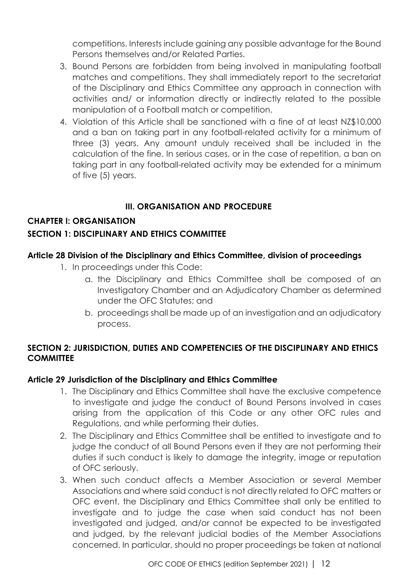competitions. Interests include gaining any possible advantage for the Bound Persons themselves and/or Related Parties.

- 3. Bound Persons are forbidden from being involved in manipulating football matches and competitions. They shall immediately report to the secretariat of the Disciplinary and Ethics Committee any approach in connection with activities and/ or information directly or indirectly related to the possible manipulation of a Football match or competition.
- 4. Violation of this Article shall be sanctioned with a fine of at least NZ\$10,000 and a ban on taking part in any football-related activity for a minimum of three (3) years. Any amount unduly received shall be included in the calculation of the fine. In serious cases, or in the case of repetition, a ban on taking part in any football-related activity may be extended for a minimum of five (5) years.

# **III. ORGANISATION AND PROCEDURE**

# <span id="page-16-1"></span><span id="page-16-0"></span>**CHAPTER I: ORGANISATION**

# <span id="page-16-2"></span>**SECTION 1: DISCIPLINARY AND ETHICS COMMITTEE**

# <span id="page-16-3"></span>**Article 28 Division of the Disciplinary and Ethics Committee, division of proceedings**

- 1. In proceedings under this Code:
	- a. the Disciplinary and Ethics Committee shall be composed of an Investigatory Chamber and an Adjudicatory Chamber as determined under the OFC Statutes; and
	- b. proceedings shall be made up of an investigation and an adjudicatory process.

# <span id="page-16-4"></span>**SECTION 2: JURISDICTION, DUTIES AND COMPETENCIES OF THE DISCIPLINARY AND ETHICS COMMITTEE**

#### <span id="page-16-5"></span>**Article 29 Jurisdiction of the Disciplinary and Ethics Committee**

- 1. The Disciplinary and Ethics Committee shall have the exclusive competence to investigate and judge the conduct of Bound Persons involved in cases arising from the application of this Code or any other OFC rules and Regulations, and while performing their duties.
- 2. The Disciplinary and Ethics Committee shall be entitled to investigate and to judge the conduct of all Bound Persons even if they are not performing their duties if such conduct is likely to damage the integrity, image or reputation of OFC seriously.
- 3. When such conduct affects a Member Association or several Member Associations and where said conduct is not directly related to OFC matters or OFC event, the Disciplinary and Ethics Committee shall only be entitled to investigate and to judge the case when said conduct has not been investigated and judged, and/or cannot be expected to be investigated and judged, by the relevant judicial bodies of the Member Associations concerned. In particular, should no proper proceedings be taken at national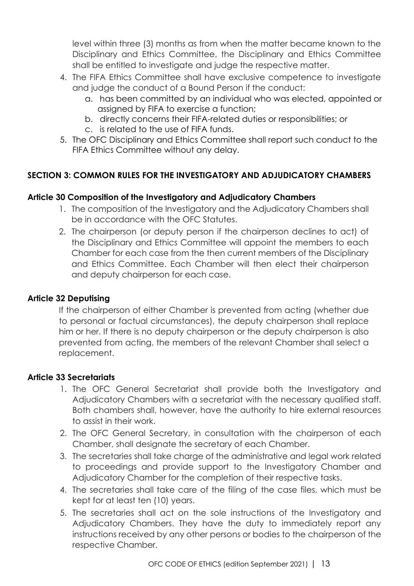level within three (3) months as from when the matter became known to the Disciplinary and Ethics Committee, the Disciplinary and Ethics Committee shall be entitled to investigate and judge the respective matter.

- 4. The FIFA Ethics Committee shall have exclusive competence to investigate and judge the conduct of a Bound Person if the conduct:
	- a. has been committed by an individual who was elected, appointed or assigned by FIFA to exercise a function;
	- b. directly concerns their FIFA-related duties or responsibilities; or
	- c. is related to the use of FIFA funds.
- 5. The OFC Disciplinary and Ethics Committee shall report such conduct to the FIFA Ethics Committee without any delay.

# <span id="page-17-0"></span>**SECTION 3: COMMON RULES FOR THE INVESTIGATORY AND ADJUDICATORY CHAMBERS**

# <span id="page-17-1"></span>**Article 30 Composition of the Investigatory and Adjudicatory Chambers**

- 1. The composition of the Investigatory and the Adjudicatory Chambers shall be in accordance with the OFC Statutes.
- 2. The chairperson (or deputy person if the chairperson declines to act) of the Disciplinary and Ethics Committee will appoint the members to each Chamber for each case from the then current members of the Disciplinary and Ethics Committee. Each Chamber will then elect their chairperson and deputy chairperson for each case.

# <span id="page-17-2"></span>**Article 32 Deputising**

If the chairperson of either Chamber is prevented from acting (whether due to personal or factual circumstances), the deputy chairperson shall replace him or her. If there is no deputy chairperson or the deputy chairperson is also prevented from acting, the members of the relevant Chamber shall select a replacement.

# <span id="page-17-3"></span>**Article 33 Secretariats**

- 1. The OFC General Secretariat shall provide both the Investigatory and Adjudicatory Chambers with a secretariat with the necessary qualified staff. Both chambers shall, however, have the authority to hire external resources to assist in their work.
- 2. The OFC General Secretary, in consultation with the chairperson of each Chamber, shall designate the secretary of each Chamber.
- 3. The secretaries shall take charge of the administrative and legal work related to proceedings and provide support to the Investigatory Chamber and Adjudicatory Chamber for the completion of their respective tasks.
- 4. The secretaries shall take care of the filing of the case files, which must be kept for at least ten (10) years.
- 5. The secretaries shall act on the sole instructions of the Investigatory and Adjudicatory Chambers. They have the duty to immediately report any instructions received by any other persons or bodies to the chairperson of the respective Chamber.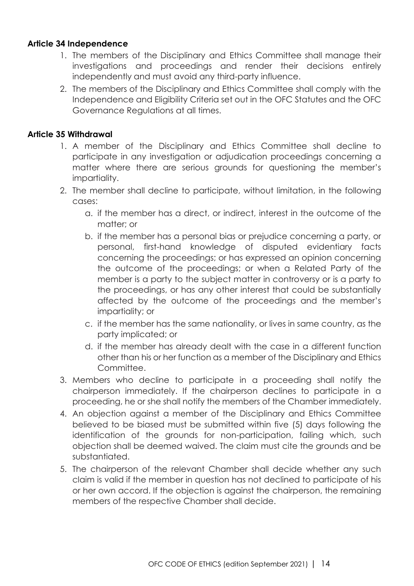#### <span id="page-18-0"></span>**Article 34 Independence**

- 1. The members of the Disciplinary and Ethics Committee shall manage their investigations and proceedings and render their decisions entirely independently and must avoid any third-party influence.
- 2. The members of the Disciplinary and Ethics Committee shall comply with the Independence and Eligibility Criteria set out in the OFC Statutes and the OFC Governance Regulations at all times.

# <span id="page-18-1"></span>**Article 35 Withdrawal**

- 1. A member of the Disciplinary and Ethics Committee shall decline to participate in any investigation or adjudication proceedings concerning a matter where there are serious grounds for questioning the member's impartiality.
- 2. The member shall decline to participate, without limitation, in the following cases:
	- a. if the member has a direct, or indirect, interest in the outcome of the matter; or
	- b. if the member has a personal bias or prejudice concerning a party, or personal, first-hand knowledge of disputed evidentiary facts concerning the proceedings; or has expressed an opinion concerning the outcome of the proceedings; or when a Related Party of the member is a party to the subject matter in controversy or is a party to the proceedings, or has any other interest that could be substantially affected by the outcome of the proceedings and the member's impartiality; or
	- c. if the member has the same nationality, or lives in same country, as the party implicated; or
	- d. if the member has already dealt with the case in a different function other than his or her function as a member of the Disciplinary and Ethics Committee.
- 3. Members who decline to participate in a proceeding shall notify the chairperson immediately. If the chairperson declines to participate in a proceeding, he or she shall notify the members of the Chamber immediately.
- 4. An objection against a member of the Disciplinary and Ethics Committee believed to be biased must be submitted within five (5) days following the identification of the grounds for non-participation, failing which, such objection shall be deemed waived. The claim must cite the grounds and be substantiated.
- 5. The chairperson of the relevant Chamber shall decide whether any such claim is valid if the member in question has not declined to participate of his or her own accord. If the objection is against the chairperson, the remaining members of the respective Chamber shall decide.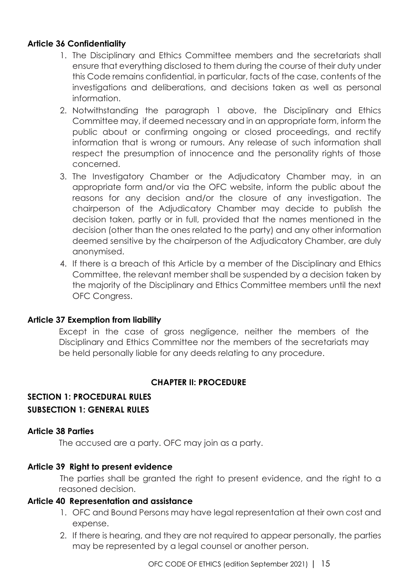#### <span id="page-19-0"></span>**Article 36 Confidentiality**

- 1. The Disciplinary and Ethics Committee members and the secretariats shall ensure that everything disclosed to them during the course of their duty under this Code remains confidential, in particular, facts of the case, contents of the investigations and deliberations, and decisions taken as well as personal information.
- 2. Notwithstanding the paragraph 1 above, the Disciplinary and Ethics Committee may, if deemed necessary and in an appropriate form, inform the public about or confirming ongoing or closed proceedings, and rectify information that is wrong or rumours. Any release of such information shall respect the presumption of innocence and the personality rights of those concerned.
- 3. The Investigatory Chamber or the Adjudicatory Chamber may, in an appropriate form and/or via the OFC website, inform the public about the reasons for any decision and/or the closure of any investigation. The chairperson of the Adjudicatory Chamber may decide to publish the decision taken, partly or in full, provided that the names mentioned in the decision (other than the ones related to the party) and any other information deemed sensitive by the chairperson of the Adjudicatory Chamber, are duly anonymised.
- 4. If there is a breach of this Article by a member of the Disciplinary and Ethics Committee, the relevant member shall be suspended by a decision taken by the majority of the Disciplinary and Ethics Committee members until the next OFC Congress.

#### <span id="page-19-1"></span>**Article 37 Exemption from liability**

Except in the case of gross negligence, neither the members of the Disciplinary and Ethics Committee nor the members of the secretariats may be held personally liable for any deeds relating to any procedure.

# **CHAPTER II: PROCEDURE**

# <span id="page-19-4"></span><span id="page-19-3"></span><span id="page-19-2"></span>**SECTION 1: PROCEDURAL RULES SUBSECTION 1: GENERAL RULES**

#### <span id="page-19-5"></span>**Article 38 Parties**

The accused are a party. OFC may join as a party.

#### <span id="page-19-6"></span>**Article 39 Right to present evidence**

The parties shall be granted the right to present evidence, and the right to a reasoned decision.

#### <span id="page-19-7"></span>**Article 40 Representation and assistance**

- 1. OFC and Bound Persons may have legal representation at their own cost and expense.
- 2. If there is hearing, and they are not required to appear personally, the parties may be represented by a legal counsel or another person.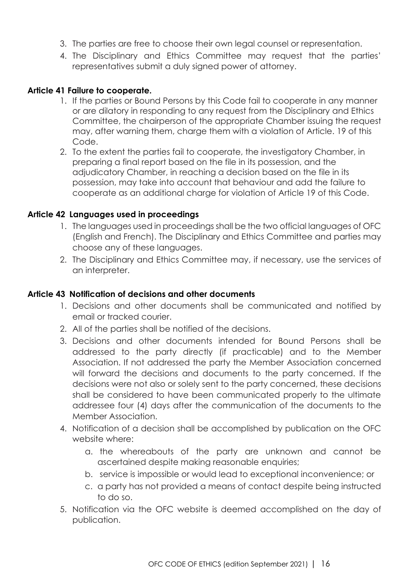- 3. The parties are free to choose their own legal counsel or representation.
- 4. The Disciplinary and Ethics Committee may request that the parties' representatives submit a duly signed power of attorney.

#### <span id="page-20-0"></span>**Article 41 Failure to cooperate.**

- 1. If the parties or Bound Persons by this Code fail to cooperate in any manner or are dilatory in responding to any request from the Disciplinary and Ethics Committee, the chairperson of the appropriate Chamber issuing the request may, after warning them, charge them with a violation of Article. 19 of this Code.
- 2. To the extent the parties fail to cooperate, the investigatory Chamber, in preparing a final report based on the file in its possession, and the adjudicatory Chamber, in reaching a decision based on the file in its possession, may take into account that behaviour and add the failure to cooperate as an additional charge for violation of Article 19 of this Code.

#### <span id="page-20-1"></span>**Article 42 Languages used in proceedings**

- 1. The languages used in proceedings shall be the two official languages of OFC (English and French). The Disciplinary and Ethics Committee and parties may choose any of these languages.
- 2. The Disciplinary and Ethics Committee may, if necessary, use the services of an interpreter.

#### <span id="page-20-2"></span>**Article 43 Notification of decisions and other documents**

- 1. Decisions and other documents shall be communicated and notified by email or tracked courier.
- 2. All of the parties shall be notified of the decisions.
- 3. Decisions and other documents intended for Bound Persons shall be addressed to the party directly (if practicable) and to the Member Association. If not addressed the party the Member Association concerned will forward the decisions and documents to the party concerned. If the decisions were not also or solely sent to the party concerned, these decisions shall be considered to have been communicated properly to the ultimate addressee four (4) days after the communication of the documents to the Member Association.
- 4. Notification of a decision shall be accomplished by publication on the OFC website where:
	- a. the whereabouts of the party are unknown and cannot be ascertained despite making reasonable enquiries;
	- b. service is impossible or would lead to exceptional inconvenience; or
	- c. a party has not provided a means of contact despite being instructed to do so.
- 5. Notification via the OFC website is deemed accomplished on the day of publication.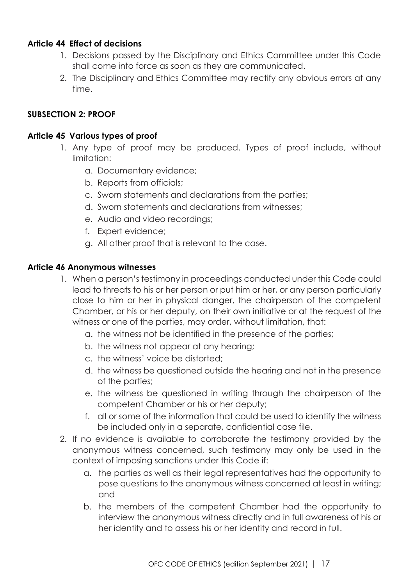#### <span id="page-21-0"></span>**Article 44 Effect of decisions**

- 1. Decisions passed by the Disciplinary and Ethics Committee under this Code shall come into force as soon as they are communicated.
- 2. The Disciplinary and Ethics Committee may rectify any obvious errors at any time.

# <span id="page-21-1"></span>**SUBSECTION 2: PROOF**

#### <span id="page-21-2"></span>**Article 45 Various types of proof**

- 1. Any type of proof may be produced. Types of proof include, without limitation:
	- a. Documentary evidence;
	- b. Reports from officials;
	- c. Sworn statements and declarations from the parties;
	- d. Sworn statements and declarations from witnesses;
	- e. Audio and video recordings;
	- f. Expert evidence;
	- g. All other proof that is relevant to the case.

#### <span id="page-21-3"></span>**Article 46 Anonymous witnesses**

- 1. When a person's testimony in proceedings conducted under this Code could lead to threats to his or her person or put him or her, or any person particularly close to him or her in physical danger, the chairperson of the competent Chamber, or his or her deputy, on their own initiative or at the request of the witness or one of the parties, may order, without limitation, that:
	- a. the witness not be identified in the presence of the parties;
	- b. the witness not appear at any hearing;
	- c. the witness' voice be distorted;
	- d. the witness be questioned outside the hearing and not in the presence of the parties;
	- e. the witness be questioned in writing through the chairperson of the competent Chamber or his or her deputy;
	- f. all or some of the information that could be used to identify the witness be included only in a separate, confidential case file.
- 2. If no evidence is available to corroborate the testimony provided by the anonymous witness concerned, such testimony may only be used in the context of imposing sanctions under this Code if:
	- a. the parties as well as their legal representatives had the opportunity to pose questions to the anonymous witness concerned at least in writing; and
	- b. the members of the competent Chamber had the opportunity to interview the anonymous witness directly and in full awareness of his or her identity and to assess his or her identity and record in full.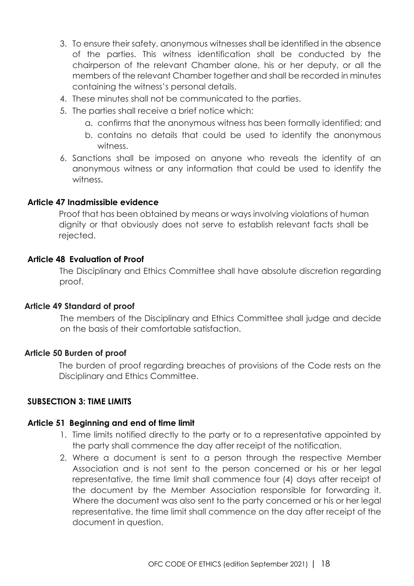- 3. To ensure their safety, anonymous witnesses shall be identified in the absence of the parties. This witness identification shall be conducted by the chairperson of the relevant Chamber alone, his or her deputy, or all the members of the relevant Chamber together and shall be recorded in minutes containing the witness's personal details.
- 4. These minutes shall not be communicated to the parties.
- 5. The parties shall receive a brief notice which:
	- a. confirms that the anonymous witness has been formally identified; and
	- b. contains no details that could be used to identify the anonymous witness.
- 6. Sanctions shall be imposed on anyone who reveals the identity of an anonymous witness or any information that could be used to identify the witness.

#### <span id="page-22-0"></span>**Article 47 Inadmissible evidence**

Proof that has been obtained by means or ways involving violations of human dignity or that obviously does not serve to establish relevant facts shall be rejected.

#### <span id="page-22-1"></span>**Article 48 Evaluation of Proof**

The Disciplinary and Ethics Committee shall have absolute discretion regarding proof.

#### **Article 49 Standard of proof**

The members of the Disciplinary and Ethics Committee shall judge and decide on the basis of their comfortable satisfaction.

#### **Article 50 Burden of proof**

The burden of proof regarding breaches of provisions of the Code rests on the Disciplinary and Ethics Committee.

#### <span id="page-22-2"></span>**SUBSECTION 3: TIME LIMITS**

#### <span id="page-22-3"></span>**Article 51 Beginning and end of time limit**

- 1. Time limits notified directly to the party or to a representative appointed by the party shall commence the day after receipt of the notification.
- 2. Where a document is sent to a person through the respective Member Association and is not sent to the person concerned or his or her legal representative, the time limit shall commence four (4) days after receipt of the document by the Member Association responsible for forwarding it. Where the document was also sent to the party concerned or his or her legal representative, the time limit shall commence on the day after receipt of the document in question.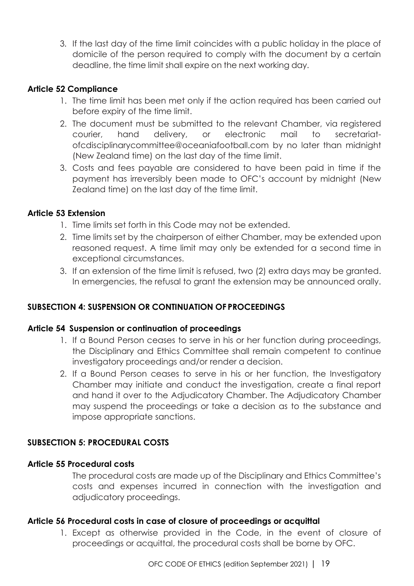3. If the last day of the time limit coincides with a public holiday in the place of domicile of the person required to comply with the document by a certain deadline, the time limit shall expire on the next working day.

# <span id="page-23-0"></span>**Article 52 Compliance**

- 1. The time limit has been met only if the action required has been carried out before expiry of the time limit.
- 2. The document must be submitted to the relevant Chamber, via registered courier, hand delivery, or electronic mail to [secretariat](mailto:secretariat-ofcdisciplinarycommittee@oceaniafootball.com)[ofcdisciplinarycommittee@oceaniafootball.com](mailto:secretariat-ofcdisciplinarycommittee@oceaniafootball.com) by no later than midnight (New Zealand time) on the last day of the time limit.
- 3. Costs and fees payable are considered to have been paid in time if the payment has irreversibly been made to OFC's account by midnight (New Zealand time) on the last day of the time limit.

# <span id="page-23-1"></span>**Article 53 Extension**

- 1. Time limits set forth in this Code may not be extended.
- 2. Time limits set by the chairperson of either Chamber, may be extended upon reasoned request. A time limit may only be extended for a second time in exceptional circumstances.
- 3. If an extension of the time limit is refused, two (2) extra days may be granted. In emergencies, the refusal to grant the extension may be announced orally.

# <span id="page-23-2"></span>**SUBSECTION 4: SUSPENSION OR CONTINUATION OF PROCEEDINGS**

#### <span id="page-23-3"></span>**Article 54 Suspension or continuation of proceedings**

- 1. If a Bound Person ceases to serve in his or her function during proceedings, the Disciplinary and Ethics Committee shall remain competent to continue investigatory proceedings and/or render a decision.
- 2. If a Bound Person ceases to serve in his or her function, the Investigatory Chamber may initiate and conduct the investigation, create a final report and hand it over to the Adjudicatory Chamber. The Adjudicatory Chamber may suspend the proceedings or take a decision as to the substance and impose appropriate sanctions.

#### <span id="page-23-4"></span>**SUBSECTION 5: PROCEDURAL COSTS**

#### <span id="page-23-5"></span>**Article 55 Procedural costs**

The procedural costs are made up of the Disciplinary and Ethics Committee's costs and expenses incurred in connection with the investigation and adjudicatory proceedings.

#### <span id="page-23-6"></span>**Article 56 Procedural costs in case of closure of proceedings or acquittal**

1. Except as otherwise provided in the Code, in the event of closure of proceedings or acquittal, the procedural costs shall be borne by OFC.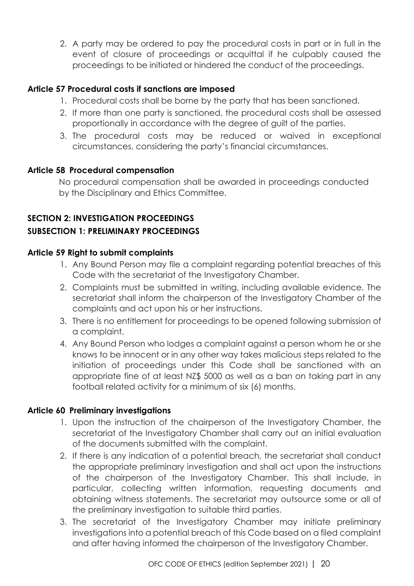2. A party may be ordered to pay the procedural costs in part or in full in the event of closure of proceedings or acquittal if he culpably caused the proceedings to be initiated or hindered the conduct of the proceedings.

# <span id="page-24-0"></span>**Article 57 Procedural costs if sanctions are imposed**

- 1. Procedural costs shall be borne by the party that has been sanctioned.
- 2. If more than one party is sanctioned, the procedural costs shall be assessed proportionally in accordance with the degree of guilt of the parties.
- 3. The procedural costs may be reduced or waived in exceptional circumstances, considering the party's financial circumstances.

# <span id="page-24-1"></span>**Article 58 Procedural compensation**

No procedural compensation shall be awarded in proceedings conducted by the Disciplinary and Ethics Committee.

# <span id="page-24-3"></span><span id="page-24-2"></span>**SECTION 2: INVESTIGATION PROCEEDINGS SUBSECTION 1: PRELIMINARY PROCEEDINGS**

# <span id="page-24-4"></span>**Article 59 Right to submit complaints**

- 1. Any Bound Person may file a complaint regarding potential breaches of this Code with the secretariat of the Investigatory Chamber.
- 2. Complaints must be submitted in writing, including available evidence. The secretariat shall inform the chairperson of the Investigatory Chamber of the complaints and act upon his or her instructions.
- 3. There is no entitlement for proceedings to be opened following submission of a complaint.
- 4. Any Bound Person who lodges a complaint against a person whom he or she knows to be innocent or in any other way takes malicious steps related to the initiation of proceedings under this Code shall be sanctioned with an appropriate fine of at least NZ\$ 5000 as well as a ban on taking part in any football related activity for a minimum of six (6) months.

# <span id="page-24-5"></span>**Article 60 Preliminary investigations**

- 1. Upon the instruction of the chairperson of the Investigatory Chamber, the secretariat of the Investigatory Chamber shall carry out an initial evaluation of the documents submitted with the complaint.
- 2. If there is any indication of a potential breach, the secretariat shall conduct the appropriate preliminary investigation and shall act upon the instructions of the chairperson of the Investigatory Chamber. This shall include, in particular, collecting written information, requesting documents and obtaining witness statements. The secretariat may outsource some or all of the preliminary investigation to suitable third parties.
- 3. The secretariat of the Investigatory Chamber may initiate preliminary investigations into a potential breach of this Code based on a filed complaint and after having informed the chairperson of the Investigatory Chamber.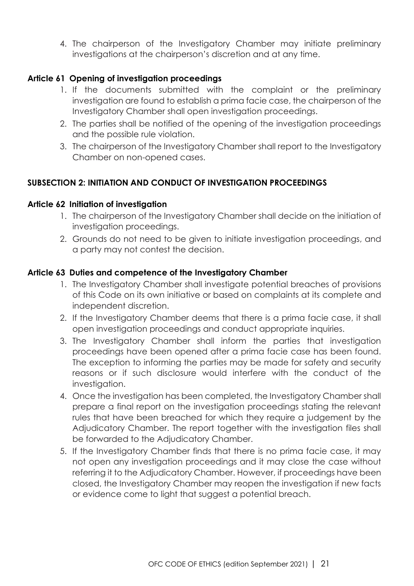4. The chairperson of the Investigatory Chamber may initiate preliminary investigations at the chairperson's discretion and at any time.

# <span id="page-25-0"></span>**Article 61 Opening of investigation proceedings**

- 1. If the documents submitted with the complaint or the preliminary investigation are found to establish a prima facie case, the chairperson of the Investigatory Chamber shall open investigation proceedings.
- 2. The parties shall be notified of the opening of the investigation proceedings and the possible rule violation.
- 3. The chairperson of the Investigatory Chamber shall report to the Investigatory Chamber on non-opened cases.

# <span id="page-25-1"></span>**SUBSECTION 2: INITIATION AND CONDUCT OF INVESTIGATION PROCEEDINGS**

#### <span id="page-25-2"></span>**Article 62 Initiation of investigation**

- 1. The chairperson of the Investigatory Chamber shall decide on the initiation of investigation proceedings.
- 2. Grounds do not need to be given to initiate investigation proceedings, and a party may not contest the decision.

#### <span id="page-25-3"></span>**Article 63 Duties and competence of the Investigatory Chamber**

- 1. The Investigatory Chamber shall investigate potential breaches of provisions of this Code on its own initiative or based on complaints at its complete and independent discretion.
- 2. If the Investigatory Chamber deems that there is a prima facie case, it shall open investigation proceedings and conduct appropriate inquiries.
- 3. The Investigatory Chamber shall inform the parties that investigation proceedings have been opened after a prima facie case has been found. The exception to informing the parties may be made for safety and security reasons or if such disclosure would interfere with the conduct of the investigation.
- 4. Once the investigation has been completed, the Investigatory Chamber shall prepare a final report on the investigation proceedings stating the relevant rules that have been breached for which they require a judgement by the Adjudicatory Chamber. The report together with the investigation files shall be forwarded to the Adjudicatory Chamber.
- 5. If the Investigatory Chamber finds that there is no prima facie case, it may not open any investigation proceedings and it may close the case without referring it to the Adjudicatory Chamber. However, if proceedings have been closed, the Investigatory Chamber may reopen the investigation if new facts or evidence come to light that suggest a potential breach.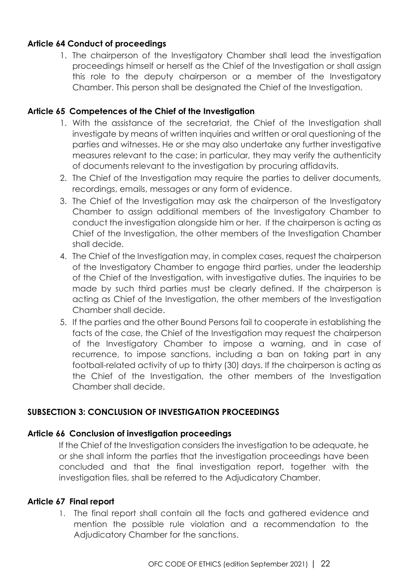# <span id="page-26-0"></span>**Article 64 Conduct of proceedings**

1. The chairperson of the Investigatory Chamber shall lead the investigation proceedings himself or herself as the Chief of the Investigation or shall assign this role to the deputy chairperson or a member of the Investigatory Chamber. This person shall be designated the Chief of the Investigation.

#### <span id="page-26-1"></span>**Article 65 Competences of the Chief of the Investigation**

- 1. With the assistance of the secretariat, the Chief of the Investigation shall investigate by means of written inquiries and written or oral questioning of the parties and witnesses. He or she may also undertake any further investigative measures relevant to the case; in particular, they may verify the authenticity of documents relevant to the investigation by procuring affidavits.
- 2. The Chief of the Investigation may require the parties to deliver documents, recordings, emails, messages or any form of evidence.
- 3. The Chief of the Investigation may ask the chairperson of the Investigatory Chamber to assign additional members of the Investigatory Chamber to conduct the investigation alongside him or her. If the chairperson is acting as Chief of the Investigation, the other members of the Investigation Chamber shall decide.
- 4. The Chief of the Investigation may, in complex cases, request the chairperson of the Investigatory Chamber to engage third parties, under the leadership of the Chief of the Investigation, with investigative duties. The inquiries to be made by such third parties must be clearly defined. If the chairperson is acting as Chief of the Investigation, the other members of the Investigation Chamber shall decide.
- 5. If the parties and the other Bound Persons fail to cooperate in establishing the facts of the case, the Chief of the Investigation may request the chairperson of the Investigatory Chamber to impose a warning, and in case of recurrence, to impose sanctions, including a ban on taking part in any football-related activity of up to thirty (30) days. If the chairperson is acting as the Chief of the Investigation, the other members of the Investigation Chamber shall decide.

# <span id="page-26-2"></span>**SUBSECTION 3: CONCLUSION OF INVESTIGATION PROCEEDINGS**

# <span id="page-26-3"></span>**Article 66 Conclusion of investigation proceedings**

If the Chief of the Investigation considers the investigation to be adequate, he or she shall inform the parties that the investigation proceedings have been concluded and that the final investigation report, together with the investigation files, shall be referred to the Adjudicatory Chamber.

# <span id="page-26-4"></span>**Article 67 Final report**

1. The final report shall contain all the facts and gathered evidence and mention the possible rule violation and a recommendation to the Adjudicatory Chamber for the sanctions.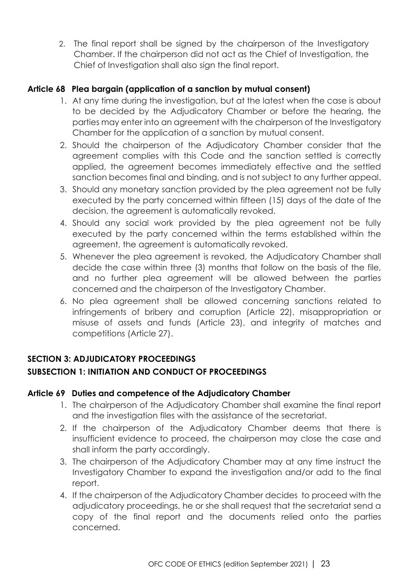2. The final report shall be signed by the chairperson of the Investigatory Chamber. If the chairperson did not act as the Chief of Investigation, the Chief of Investigation shall also sign the final report.

# <span id="page-27-0"></span>**Article 68 Plea bargain (application of a sanction by mutual consent)**

- 1. At any time during the investigation, but at the latest when the case is about to be decided by the Adjudicatory Chamber or before the hearing, the parties may enter into an agreement with the chairperson of the Investigatory Chamber for the application of a sanction by mutual consent.
- 2. Should the chairperson of the Adjudicatory Chamber consider that the agreement complies with this Code and the sanction settled is correctly applied, the agreement becomes immediately effective and the settled sanction becomes final and binding, and is not subject to any further appeal.
- 3. Should any monetary sanction provided by the plea agreement not be fully executed by the party concerned within fifteen (15) days of the date of the decision, the agreement is automatically revoked.
- 4. Should any social work provided by the plea agreement not be fully executed by the party concerned within the terms established within the agreement, the agreement is automatically revoked.
- 5. Whenever the plea agreement is revoked, the Adjudicatory Chamber shall decide the case within three (3) months that follow on the basis of the file, and no further plea agreement will be allowed between the parties concerned and the chairperson of the Investigatory Chamber.
- 6. No plea agreement shall be allowed concerning sanctions related to infringements of bribery and corruption (Article 22), misappropriation or misuse of assets and funds (Article 23), and integrity of matches and competitions (Article 27).

# <span id="page-27-1"></span>**SECTION 3: ADJUDICATORY PROCEEDINGS**

# <span id="page-27-2"></span>**SUBSECTION 1: INITIATION AND CONDUCT OF PROCEEDINGS**

# <span id="page-27-3"></span>**Article 69 Duties and competence of the Adjudicatory Chamber**

- 1. The chairperson of the Adjudicatory Chamber shall examine the final report and the investigation files with the assistance of the secretariat.
- 2. If the chairperson of the Adjudicatory Chamber deems that there is insufficient evidence to proceed, the chairperson may close the case and shall inform the party accordingly.
- 3. The chairperson of the Adjudicatory Chamber may at any time instruct the Investigatory Chamber to expand the investigation and/or add to the final report.
- 4. If the chairperson of the Adjudicatory Chamber decides to proceed with the adjudicatory proceedings, he or she shall request that the secretariat send a copy of the final report and the documents relied onto the parties concerned.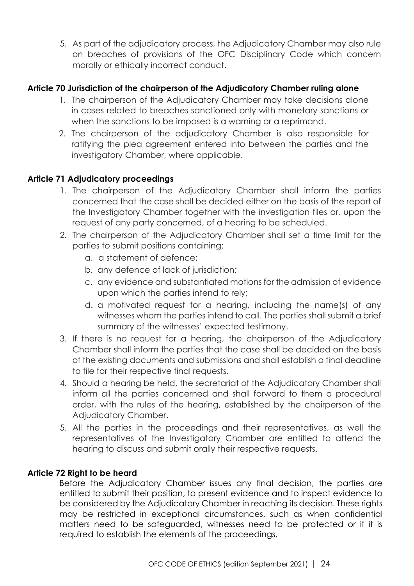5. As part of the adjudicatory process, the Adjudicatory Chamber may also rule on breaches of provisions of the OFC Disciplinary Code which concern morally or ethically incorrect conduct.

# <span id="page-28-0"></span>**Article 70 Jurisdiction of the chairperson of the Adjudicatory Chamber ruling alone**

- 1. The chairperson of the Adjudicatory Chamber may take decisions alone in cases related to breaches sanctioned only with monetary sanctions or when the sanctions to be imposed is a warning or a reprimand.
- 2. The chairperson of the adjudicatory Chamber is also responsible for ratifying the plea agreement entered into between the parties and the investigatory Chamber, where applicable.

# <span id="page-28-1"></span>**Article 71 Adjudicatory proceedings**

- 1. The chairperson of the Adjudicatory Chamber shall inform the parties concerned that the case shall be decided either on the basis of the report of the Investigatory Chamber together with the investigation files or, upon the request of any party concerned, of a hearing to be scheduled.
- 2. The chairperson of the Adjudicatory Chamber shall set a time limit for the parties to submit positions containing:
	- a. a statement of defence;
	- b. any defence of lack of jurisdiction;
	- c. any evidence and substantiated motions for the admission of evidence upon which the parties intend to rely;
	- d. a motivated request for a hearing, including the name(s) of any witnesses whom the parties intend to call. The parties shall submit a brief summary of the witnesses' expected testimony.
- 3. If there is no request for a hearing, the chairperson of the Adjudicatory Chamber shall inform the parties that the case shall be decided on the basis of the existing documents and submissions and shall establish a final deadline to file for their respective final requests.
- 4. Should a hearing be held, the secretariat of the Adjudicatory Chamber shall inform all the parties concerned and shall forward to them a procedural order, with the rules of the hearing, established by the chairperson of the Adjudicatory Chamber.
- 5. All the parties in the proceedings and their representatives, as well the representatives of the Investigatory Chamber are entitled to attend the hearing to discuss and submit orally their respective requests.

#### <span id="page-28-2"></span>**Article 72 Right to be heard**

Before the Adjudicatory Chamber issues any final decision, the parties are entitled to submit their position, to present evidence and to inspect evidence to be considered by the Adjudicatory Chamber in reaching its decision. These rights may be restricted in exceptional circumstances, such as when confidential matters need to be safeguarded, witnesses need to be protected or if it is required to establish the elements of the proceedings.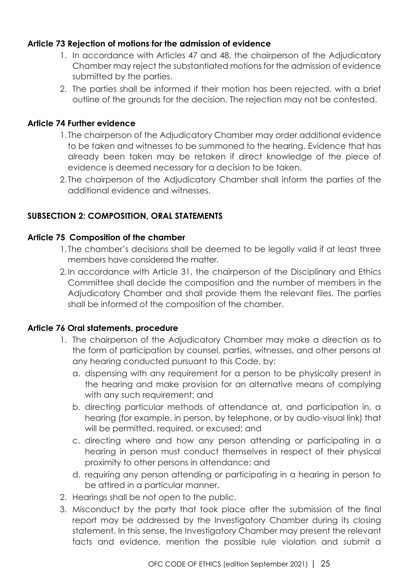# <span id="page-29-0"></span>**Article 73 Rejection of motions for the admission of evidence**

- 1. In accordance with Articles 47 and 48, the chairperson of the Adjudicatory Chamber may reject the substantiated motions for the admission of evidence submitted by the parties.
- 2. The parties shall be informed if their motion has been rejected, with a brief outline of the grounds for the decision. The rejection may not be contested.

#### <span id="page-29-1"></span>**Article 74 Further evidence**

- 1. The chairperson of the Adjudicatory Chamber may order additional evidence to be taken and witnesses to be summoned to the hearing. Evidence that has already been taken may be retaken if direct knowledge of the piece of evidence is deemed necessary for a decision to be taken.
- 2. The chairperson of the Adjudicatory Chamber shall inform the parties of the additional evidence and witnesses.

# <span id="page-29-2"></span>**SUBSECTION 2: COMPOSITION, ORAL STATEMENTS**

#### <span id="page-29-3"></span>**Article 75 Composition of the chamber**

- 1. The chamber's decisions shall be deemed to be legally valid if at least three members have considered the matter.
- 2.In accordance with Article 31, the chairperson of the Disciplinary and Ethics Committee shall decide the composition and the number of members in the Adjudicatory Chamber and shall provide them the relevant files. The parties shall be informed of the composition of the chamber.

#### <span id="page-29-4"></span>**Article 76 Oral statements, procedure**

- 1. The chairperson of the Adjudicatory Chamber may make a direction as to the form of participation by counsel, parties, witnesses, and other persons at any hearing conducted pursuant to this Code, by:
	- a. dispensing with any requirement for a person to be physically present in the hearing and make provision for an alternative means of complying with any such requirement; and
	- b. directing particular methods of attendance at, and participation in, a hearing (for example, in person, by telephone, or by audio-visual link) that will be permitted, required, or excused; and
	- c. directing where and how any person attending or participating in a hearing in person must conduct themselves in respect of their physical proximity to other persons in attendance; and
	- d. requiring any person attending or participating in a hearing in person to be attired in a particular manner.
- 2. Hearings shall be not open to the public.
- 3. Misconduct by the party that took place after the submission of the final report may be addressed by the Investigatory Chamber during its closing statement. In this sense, the Investigatory Chamber may present the relevant facts and evidence, mention the possible rule violation and submit a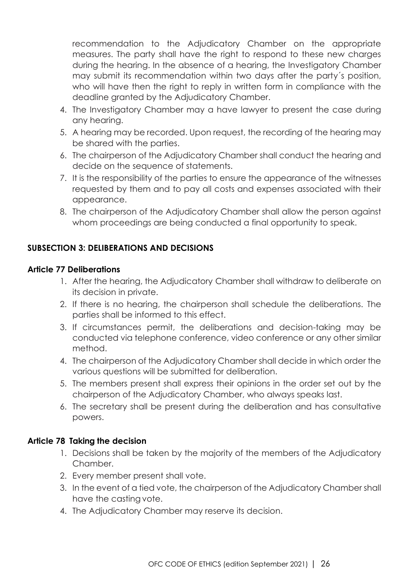recommendation to the Adjudicatory Chamber on the appropriate measures. The party shall have the right to respond to these new charges during the hearing. In the absence of a hearing, the Investigatory Chamber may submit its recommendation within two days after the party´s position, who will have then the right to reply in written form in compliance with the deadline granted by the Adjudicatory Chamber.

- 4. The Investigatory Chamber may a have lawyer to present the case during any hearing.
- 5. A hearing may be recorded. Upon request, the recording of the hearing may be shared with the parties.
- 6. The chairperson of the Adjudicatory Chamber shall conduct the hearing and decide on the sequence of statements.
- 7. It is the responsibility of the parties to ensure the appearance of the witnesses requested by them and to pay all costs and expenses associated with their appearance.
- 8. The chairperson of the Adjudicatory Chamber shall allow the person against whom proceedings are being conducted a final opportunity to speak.

# <span id="page-30-0"></span>**SUBSECTION 3: DELIBERATIONS AND DECISIONS**

# <span id="page-30-1"></span>**Article 77 Deliberations**

- 1. After the hearing, the Adjudicatory Chamber shall withdraw to deliberate on its decision in private.
- 2. If there is no hearing, the chairperson shall schedule the deliberations. The parties shall be informed to this effect.
- 3. If circumstances permit, the deliberations and decision-taking may be conducted via telephone conference, video conference or any other similar method.
- 4. The chairperson of the Adjudicatory Chamber shall decide in which order the various questions will be submitted for deliberation.
- 5. The members present shall express their opinions in the order set out by the chairperson of the Adjudicatory Chamber, who always speaks last.
- 6. The secretary shall be present during the deliberation and has consultative powers.

# <span id="page-30-2"></span>**Article 78 Taking the decision**

- 1. Decisions shall be taken by the majority of the members of the Adjudicatory Chamber.
- 2. Every member present shall vote.
- 3. In the event of a tied vote, the chairperson of the Adjudicatory Chamber shall have the casting vote.
- 4. The Adjudicatory Chamber may reserve its decision.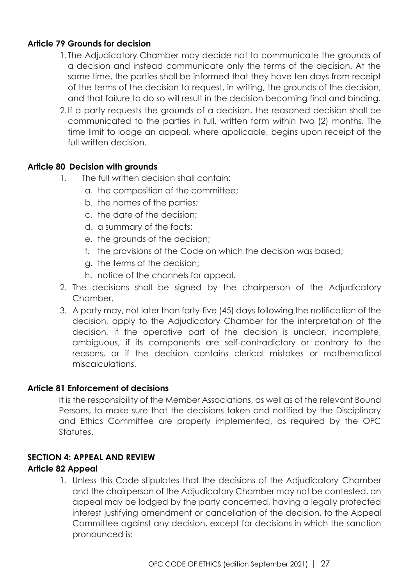# <span id="page-31-0"></span>**Article 79 Grounds for decision**

- 1. The Adjudicatory Chamber may decide not to communicate the grounds of a decision and instead communicate only the terms of the decision. At the same time, the parties shall be informed that they have ten days from receipt of the terms of the decision to request, in writing, the grounds of the decision, and that failure to do so will result in the decision becoming final and binding.
- 2.If a party requests the grounds of a decision, the reasoned decision shall be communicated to the parties in full, written form within two (2) months. The time limit to lodge an appeal, where applicable, begins upon receipt of the full written decision.

# <span id="page-31-1"></span>**Article 80 Decision with grounds**

- 1. The full written decision shall contain:
	- a. the composition of the committee;
	- b. the names of the parties;
	- c. the date of the decision;
	- d. a summary of the facts;
	- e. the grounds of the decision;
	- f. the provisions of the Code on which the decision was based;
	- g. the terms of the decision;
	- h. notice of the channels for appeal.
- 2. The decisions shall be signed by the chairperson of the Adjudicatory Chamber.
- 3. A party may, not later than forty-five (45) days following the notification of the decision, apply to the Adjudicatory Chamber for the interpretation of the decision, if the operative part of the decision is unclear, incomplete, ambiguous, if its components are self-contradictory or contrary to the reasons, or if the decision contains clerical mistakes or mathematical miscalculations.

#### <span id="page-31-2"></span>**Article 81 Enforcement of decisions**

It is the responsibility of the Member Associations, as well as of the relevant Bound Persons, to make sure that the decisions taken and notified by the Disciplinary and Ethics Committee are properly implemented, as required by the OFC Statutes.

# <span id="page-31-3"></span>**SECTION 4: APPEAL AND REVIEW**

#### <span id="page-31-4"></span>**Article 82 Appeal**

1. Unless this Code stipulates that the decisions of the Adjudicatory Chamber and the chairperson of the Adjudicatory Chamber may not be contested, an appeal may be lodged by the party concerned, having a legally protected interest justifying amendment or cancellation of the decision, to the Appeal Committee against any decision, except for decisions in which the sanction pronounced is: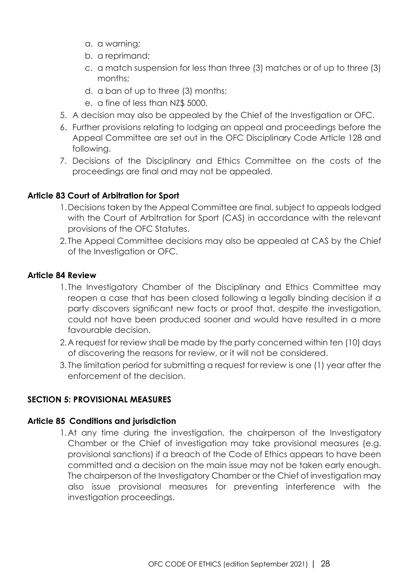- a. a warning;
- b. a reprimand;
- c. a match suspension for less than three (3) matches or of up to three (3) months;
- d. a ban of up to three (3) months;
- e. a fine of less than NZ\$ 5000.
- 5. A decision may also be appealed by the Chief of the Investigation or OFC.
- 6. Further provisions relating to lodging an appeal and proceedings before the Appeal Committee are set out in the OFC Disciplinary Code Article 128 and following.
- 7. Decisions of the Disciplinary and Ethics Committee on the costs of the proceedings are final and may not be appealed.

# <span id="page-32-0"></span>**Article 83 Court of Arbitration for Sport**

- 1.Decisions taken by the Appeal Committee are final, subject to appeals lodged with the Court of Arbitration for Sport (CAS) in accordance with the relevant provisions of the OFC Statutes.
- 2. The Appeal Committee decisions may also be appealed at CAS by the Chief of the Investigation or OFC.

# <span id="page-32-1"></span>**Article 84 Review**

- 1. The Investigatory Chamber of the Disciplinary and Ethics Committee may reopen a case that has been closed following a legally binding decision if a party discovers significant new facts or proof that, despite the investigation, could not have been produced sooner and would have resulted in a more favourable decision.
- 2.A request for review shall be made by the party concerned within ten (10) days of discovering the reasons for review, or it will not be considered.
- 3. The limitation period for submitting a request for review is one (1) year after the enforcement of the decision.

# <span id="page-32-2"></span>**SECTION 5: PROVISIONAL MEASURES**

#### <span id="page-32-3"></span>**Article 85 Conditions and jurisdiction**

1.At any time during the investigation, the chairperson of the Investigatory Chamber or the Chief of investigation may take provisional measures (e.g. provisional sanctions) if a breach of the Code of Ethics appears to have been committed and a decision on the main issue may not be taken early enough. The chairperson of the Investigatory Chamber or the Chief of investigation may also issue provisional measures for preventing interference with the investigation proceedings.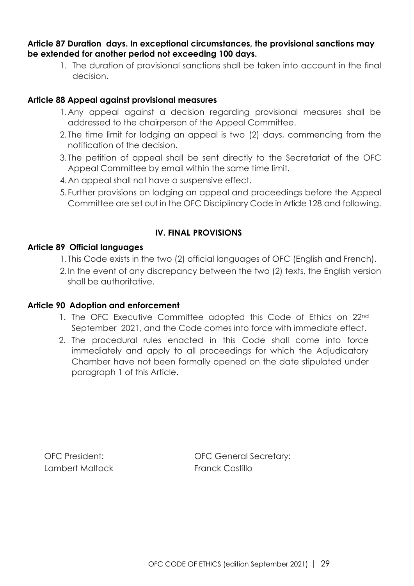#### <span id="page-33-0"></span>**Article 87 Duration days. In exceptional circumstances, the provisional sanctions may be extended for another period not exceeding 100 days.**

1. The duration of provisional sanctions shall be taken into account in the final decision.

# <span id="page-33-1"></span>**Article 88 Appeal against provisional measures**

- 1.Any appeal against a decision regarding provisional measures shall be addressed to the chairperson of the Appeal Committee.
- 2. The time limit for lodging an appeal is two (2) days, commencing from the notification of the decision.
- 3. The petition of appeal shall be sent directly to the Secretariat of the OFC Appeal Committee by email within the same time limit.
- 4.An appeal shall not have a suspensive effect.
- 5. Further provisions on lodging an appeal and proceedings before the Appeal Committee are set out in the OFC Disciplinary Code in Article 128 and following.

# **IV. FINAL PROVISIONS**

# <span id="page-33-3"></span><span id="page-33-2"></span>**Article 89 Official languages**

- 1. This Code exists in the two (2) official languages of OFC (English and French).
- 2.In the event of any discrepancy between the two (2) texts, the English version shall be authoritative.

#### <span id="page-33-4"></span>**Article 90 Adoption and enforcement**

- 1. The OFC Executive Committee adopted this Code of Ethics on 22nd September 2021, and the Code comes into force with immediate effect.
- 2. The procedural rules enacted in this Code shall come into force immediately and apply to all proceedings for which the Adjudicatory Chamber have not been formally opened on the date stipulated under paragraph 1 of this Article.

Lambert Maltock **Franck Castillo** 

OFC President: OFC General Secretary: